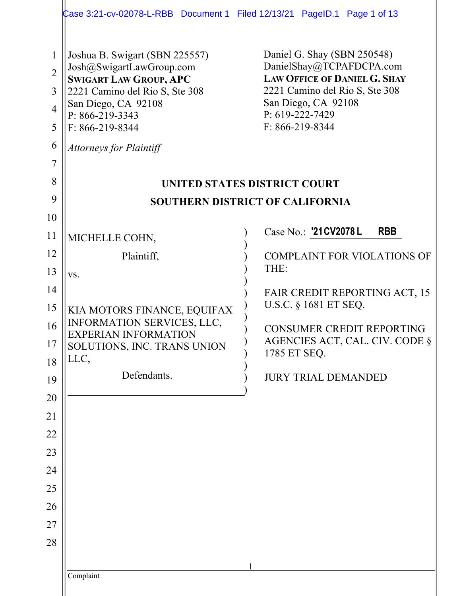|                                                                                                | Case 3:21-cv-02078-L-RBB Document 1 Filed 12/13/21 PageID.1 Page 1 of 13                                                                                                                                                                 |                                                                                                                                                                                                     |  |  |  |  |  |
|------------------------------------------------------------------------------------------------|------------------------------------------------------------------------------------------------------------------------------------------------------------------------------------------------------------------------------------------|-----------------------------------------------------------------------------------------------------------------------------------------------------------------------------------------------------|--|--|--|--|--|
| $\mathbf{1}$<br>$\overline{2}$<br>$\overline{3}$<br>$\overline{4}$<br>5<br>6<br>$\overline{7}$ | Joshua B. Swigart (SBN 225557)<br>Josh@SwigartLawGroup.com<br><b>SWIGART LAW GROUP, APC</b><br>2221 Camino del Rio S, Ste 308<br>San Diego, CA 92108<br>$P: 866 - 219 - 3343$<br>$F: 866 - 219 - 8344$<br><b>Attorneys for Plaintiff</b> | Daniel G. Shay (SBN 250548)<br>DanielShay@TCPAFDCPA.com<br><b>LAW OFFICE OF DANIEL G. SHAY</b><br>2221 Camino del Rio S, Ste 308<br>San Diego, CA 92108<br>P: 619-222-7429<br>$F: 866 - 219 - 8344$ |  |  |  |  |  |
| 8                                                                                              |                                                                                                                                                                                                                                          | UNITED STATES DISTRICT COURT                                                                                                                                                                        |  |  |  |  |  |
| 9                                                                                              | <b>SOUTHERN DISTRICT OF CALIFORNIA</b>                                                                                                                                                                                                   |                                                                                                                                                                                                     |  |  |  |  |  |
| 10                                                                                             |                                                                                                                                                                                                                                          |                                                                                                                                                                                                     |  |  |  |  |  |
| 11                                                                                             | MICHELLE COHN,                                                                                                                                                                                                                           | Case No.: '21 CV2078 L<br><b>RBB</b>                                                                                                                                                                |  |  |  |  |  |
| 12                                                                                             | Plaintiff,                                                                                                                                                                                                                               | <b>COMPLAINT FOR VIOLATIONS OF</b>                                                                                                                                                                  |  |  |  |  |  |
| 13                                                                                             | VS.                                                                                                                                                                                                                                      | THE:                                                                                                                                                                                                |  |  |  |  |  |
| 14                                                                                             |                                                                                                                                                                                                                                          | FAIR CREDIT REPORTING ACT, 15<br>U.S.C. § 1681 ET SEQ.                                                                                                                                              |  |  |  |  |  |
| 15<br>16                                                                                       | KIA MOTORS FINANCE, EQUIFAX<br>INFORMATION SERVICES, LLC,                                                                                                                                                                                |                                                                                                                                                                                                     |  |  |  |  |  |
| 17                                                                                             | <b>EXPERIAN INFORMATION</b><br>SOLUTIONS, INC. TRANS UNION                                                                                                                                                                               | CONSUMER CREDIT REPORTING<br>AGENCIES ACT, CAL. CIV. CODE §                                                                                                                                         |  |  |  |  |  |
| 18                                                                                             | LLC,                                                                                                                                                                                                                                     | 1785 ET SEQ.                                                                                                                                                                                        |  |  |  |  |  |
| 19                                                                                             | Defendants.                                                                                                                                                                                                                              | <b>JURY TRIAL DEMANDED</b>                                                                                                                                                                          |  |  |  |  |  |
| 20                                                                                             |                                                                                                                                                                                                                                          |                                                                                                                                                                                                     |  |  |  |  |  |
| 21                                                                                             |                                                                                                                                                                                                                                          |                                                                                                                                                                                                     |  |  |  |  |  |
| 22                                                                                             |                                                                                                                                                                                                                                          |                                                                                                                                                                                                     |  |  |  |  |  |
| 23                                                                                             |                                                                                                                                                                                                                                          |                                                                                                                                                                                                     |  |  |  |  |  |
| 24<br>25                                                                                       |                                                                                                                                                                                                                                          |                                                                                                                                                                                                     |  |  |  |  |  |
| 26                                                                                             |                                                                                                                                                                                                                                          |                                                                                                                                                                                                     |  |  |  |  |  |
| 27                                                                                             |                                                                                                                                                                                                                                          |                                                                                                                                                                                                     |  |  |  |  |  |
| 28                                                                                             |                                                                                                                                                                                                                                          |                                                                                                                                                                                                     |  |  |  |  |  |
|                                                                                                |                                                                                                                                                                                                                                          |                                                                                                                                                                                                     |  |  |  |  |  |
|                                                                                                | Complaint                                                                                                                                                                                                                                |                                                                                                                                                                                                     |  |  |  |  |  |
|                                                                                                |                                                                                                                                                                                                                                          |                                                                                                                                                                                                     |  |  |  |  |  |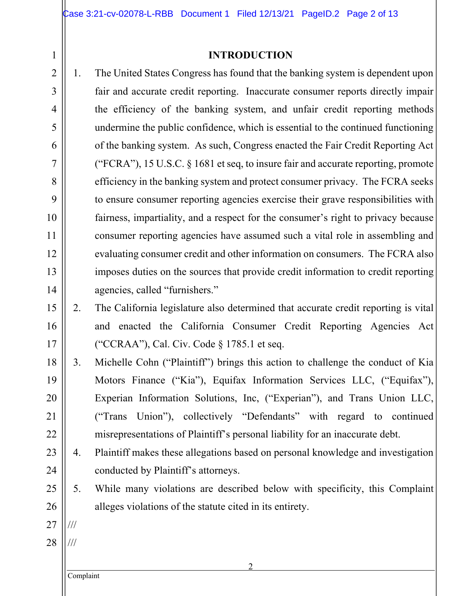### **INTRODUCTION**

- 1. The United States Congress has found that the banking system is dependent upon fair and accurate credit reporting. Inaccurate consumer reports directly impair the efficiency of the banking system, and unfair credit reporting methods undermine the public confidence, which is essential to the continued functioning of the banking system. As such, Congress enacted the Fair Credit Reporting Act ("FCRA"), 15 U.S.C. § 1681 et seq, to insure fair and accurate reporting, promote efficiency in the banking system and protect consumer privacy. The FCRA seeks to ensure consumer reporting agencies exercise their grave responsibilities with fairness, impartiality, and a respect for the consumer's right to privacy because consumer reporting agencies have assumed such a vital role in assembling and evaluating consumer credit and other information on consumers. The FCRA also imposes duties on the sources that provide credit information to credit reporting agencies, called "furnishers."
- 2. The California legislature also determined that accurate credit reporting is vital and enacted the California Consumer Credit Reporting Agencies Act ("CCRAA"), Cal. Civ. Code § 1785.1 et seq.
- 18 19 20 21 22 3. Michelle Cohn ("Plaintiff") brings this action to challenge the conduct of Kia Motors Finance ("Kia"), Equifax Information Services LLC, ("Equifax"), Experian Information Solutions, Inc, ("Experian"), and Trans Union LLC, ("Trans Union"), collectively "Defendants" with regard to continued misrepresentations of Plaintiff's personal liability for an inaccurate debt.
	- 4. Plaintiff makes these allegations based on personal knowledge and investigation conducted by Plaintiff's attorneys.
	- 5. While many violations are described below with specificity, this Complaint alleges violations of the statute cited in its entirety.
- 27 ///

1

2

3

4

5

6

7

8

9

10

11

12

13

14

15

16

17

23

24

25

26

28 ///

Complaint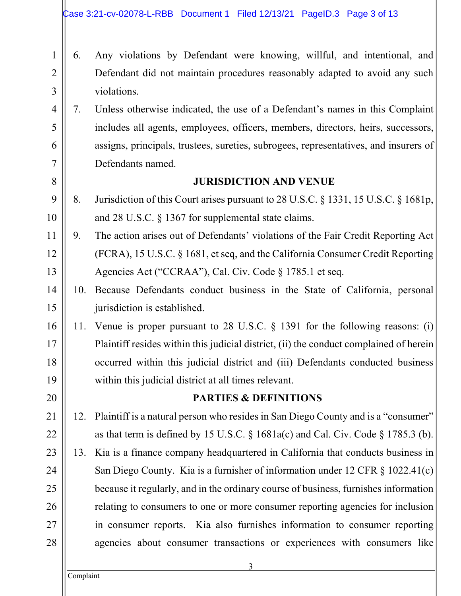- 6. Any violations by Defendant were knowing, willful, and intentional, and Defendant did not maintain procedures reasonably adapted to avoid any such violations.
	- 7. Unless otherwise indicated, the use of a Defendant's names in this Complaint includes all agents, employees, officers, members, directors, heirs, successors, assigns, principals, trustees, sureties, subrogees, representatives, and insurers of Defendants named.

## **JURISDICTION AND VENUE**

- 8. Jurisdiction of this Court arises pursuant to 28 U.S.C. § 1331, 15 U.S.C. § 1681p, and 28 U.S.C. § 1367 for supplemental state claims.
- 9. The action arises out of Defendants' violations of the Fair Credit Reporting Act (FCRA), 15 U.S.C. § 1681, et seq, and the California Consumer Credit Reporting Agencies Act ("CCRAA"), Cal. Civ. Code § 1785.1 et seq.
- 10. Because Defendants conduct business in the State of California, personal jurisdiction is established.
- 11. Venue is proper pursuant to 28 U.S.C. § 1391 for the following reasons: (i) Plaintiff resides within this judicial district, (ii) the conduct complained of herein occurred within this judicial district and (iii) Defendants conducted business within this judicial district at all times relevant.

## **PARTIES & DEFINITIONS**

- 12. Plaintiff is a natural person who resides in San Diego County and is a "consumer" as that term is defined by 15 U.S.C.  $\S$  1681a(c) and Cal. Civ. Code  $\S$  1785.3 (b).
- 13. Kia is a finance company headquartered in California that conducts business in San Diego County. Kia is a furnisher of information under 12 CFR § 1022.41(c) because it regularly, and in the ordinary course of business, furnishes information relating to consumers to one or more consumer reporting agencies for inclusion in consumer reports. Kia also furnishes information to consumer reporting agencies about consumer transactions or experiences with consumers like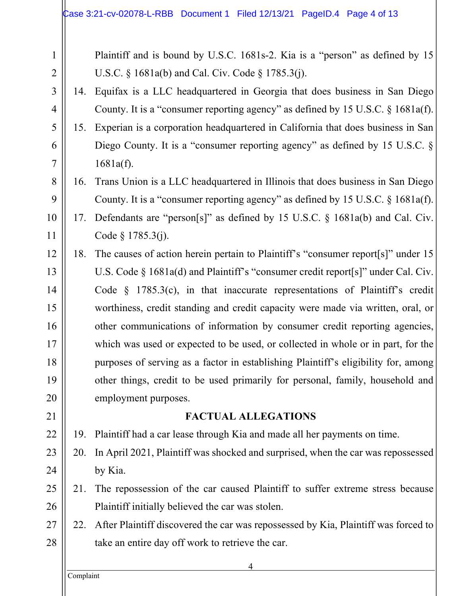| $\mathbf{1}$   |     | Plaintiff and is bound by U.S.C. 1681s-2. Kia is a "person" as defined by 15           |
|----------------|-----|----------------------------------------------------------------------------------------|
| $\overline{2}$ |     | U.S.C. § 1681a(b) and Cal. Civ. Code § 1785.3(j).                                      |
| 3              |     | 14. Equifax is a LLC headquartered in Georgia that does business in San Diego          |
| 4              |     | County. It is a "consumer reporting agency" as defined by 15 U.S.C. § 1681a(f).        |
| 5              |     | 15. Experian is a corporation headquartered in California that does business in San    |
| 6              |     | Diego County. It is a "consumer reporting agency" as defined by 15 U.S.C. $\S$         |
| 7              |     | 1681a(f).                                                                              |
| 8              | 16. | Trans Union is a LLC headquartered in Illinois that does business in San Diego         |
| 9              |     | County. It is a "consumer reporting agency" as defined by 15 U.S.C. § 1681a(f).        |
| 10             |     | 17. Defendants are "person[s]" as defined by 15 U.S.C. § 1681a(b) and Cal. Civ.        |
| 11             |     | Code $§$ 1785.3(j).                                                                    |
| 12             | 18. | The causes of action herein pertain to Plaintiff's "consumer report[s]" under 15       |
| 13             |     | U.S. Code $\S$ 1681a(d) and Plaintiff's "consumer credit report[s]" under Cal. Civ.    |
| 14             |     | Code $\S$ 1785.3(c), in that inaccurate representations of Plaintiff's credit          |
| 15             |     | worthiness, credit standing and credit capacity were made via written, oral, or        |
| 16             |     | other communications of information by consumer credit reporting agencies,             |
| 17             |     | which was used or expected to be used, or collected in whole or in part, for the       |
| 18             |     | purposes of serving as a factor in establishing Plaintiff's eligibility for, among     |
| 19             |     | other things, credit to be used primarily for personal, family, household and          |
| 20             |     | employment purposes.                                                                   |
| 21             |     | <b>FACTUAL ALLEGATIONS</b>                                                             |
| 22             | 19. | Plaintiff had a car lease through Kia and made all her payments on time.               |
| 23             | 20. | In April 2021, Plaintiff was shocked and surprised, when the car was repossessed       |
| 24             |     | by Kia.                                                                                |
| 25             | 21. | The repossession of the car caused Plaintiff to suffer extreme stress because          |
| 26             |     | Plaintiff initially believed the car was stolen.                                       |
| 27             |     | 22. After Plaintiff discovered the car was repossessed by Kia, Plaintiff was forced to |
| 28             |     | take an entire day off work to retrieve the car.                                       |
|                |     |                                                                                        |

Complaint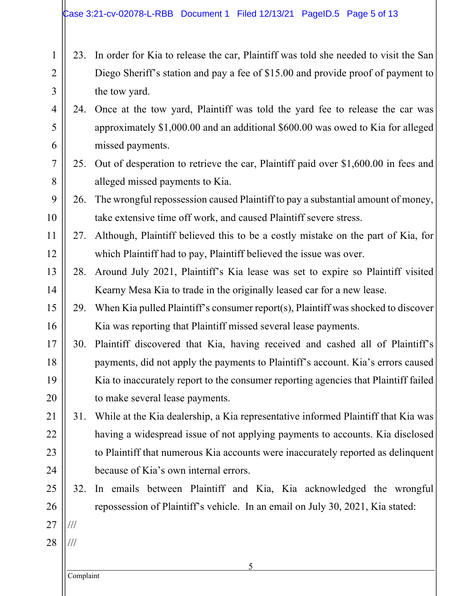- 2 3 4 5 6 23. In order for Kia to release the car, Plaintiff was told she needed to visit the San Diego Sheriff's station and pay a fee of \$15.00 and provide proof of payment to the tow yard. 24. Once at the tow yard, Plaintiff was told the yard fee to release the car was approximately \$1,000.00 and an additional \$600.00 was owed to Kia for alleged missed payments.
	- 25. Out of desperation to retrieve the car, Plaintiff paid over \$1,600.00 in fees and alleged missed payments to Kia.
	- 26. The wrongful repossession caused Plaintiff to pay a substantial amount of money, take extensive time off work, and caused Plaintiff severe stress.
	- 27. Although, Plaintiff believed this to be a costly mistake on the part of Kia, for which Plaintiff had to pay, Plaintiff believed the issue was over.
- 13 14 28. Around July 2021, Plaintiff's Kia lease was set to expire so Plaintiff visited Kearny Mesa Kia to trade in the originally leased car for a new lease.
- 15 16 29. When Kia pulled Plaintiff's consumer report(s), Plaintiff was shocked to discover Kia was reporting that Plaintiff missed several lease payments.
- 17 18 19 20 30. Plaintiff discovered that Kia, having received and cashed all of Plaintiff's payments, did not apply the payments to Plaintiff's account. Kia's errors caused Kia to inaccurately report to the consumer reporting agencies that Plaintiff failed to make several lease payments.
- 21 22 23 24 31. While at the Kia dealership, a Kia representative informed Plaintiff that Kia was having a widespread issue of not applying payments to accounts. Kia disclosed to Plaintiff that numerous Kia accounts were inaccurately reported as delinquent because of Kia's own internal errors.
	- 32. In emails between Plaintiff and Kia, Kia acknowledged the wrongful repossession of Plaintiff's vehicle. In an email on July 30, 2021, Kia stated:
- 27 28 /// ///

25

26

1

7

8

9

10

11

12

Complaint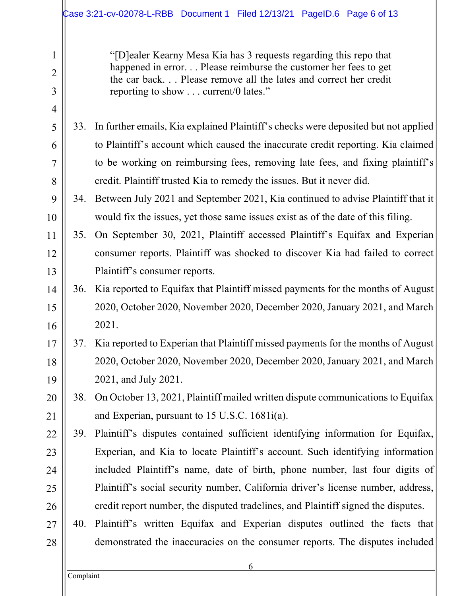|                               |     | Case 3:21-cv-02078-L-RBB Document 1 Filed 12/13/21 PageID.6 Page 6 of 13                                                                                                                                                                          |
|-------------------------------|-----|---------------------------------------------------------------------------------------------------------------------------------------------------------------------------------------------------------------------------------------------------|
| 1<br>$\overline{2}$<br>3<br>4 |     | "[D] ealer Kearny Mesa Kia has 3 requests regarding this repo that<br>happened in error. Please reimburse the customer her fees to get<br>the car back Please remove all the lates and correct her credit<br>reporting to show  current/0 lates." |
| 5                             |     | 33. In further emails, Kia explained Plaintiff's checks were deposited but not applied                                                                                                                                                            |
| 6                             |     | to Plaintiff's account which caused the inaccurate credit reporting. Kia claimed                                                                                                                                                                  |
| 7                             |     | to be working on reimbursing fees, removing late fees, and fixing plaintiff's                                                                                                                                                                     |
| 8                             |     | credit. Plaintiff trusted Kia to remedy the issues. But it never did.                                                                                                                                                                             |
| 9                             |     | 34. Between July 2021 and September 2021, Kia continued to advise Plaintiff that it                                                                                                                                                               |
| 10                            |     | would fix the issues, yet those same issues exist as of the date of this filing.                                                                                                                                                                  |
| 11                            | 35. | On September 30, 2021, Plaintiff accessed Plaintiff's Equifax and Experian                                                                                                                                                                        |
| 12                            |     | consumer reports. Plaintiff was shocked to discover Kia had failed to correct                                                                                                                                                                     |
| 13                            |     | Plaintiff's consumer reports.                                                                                                                                                                                                                     |
| 14                            | 36. | Kia reported to Equifax that Plaintiff missed payments for the months of August                                                                                                                                                                   |
| 15                            |     | 2020, October 2020, November 2020, December 2020, January 2021, and March                                                                                                                                                                         |
| 16                            |     | 2021.                                                                                                                                                                                                                                             |
| 17                            |     | 37. Kia reported to Experian that Plaintiff missed payments for the months of August                                                                                                                                                              |
| 18                            |     | 2020, October 2020, November 2020, December 2020, January 2021, and March                                                                                                                                                                         |
| 19                            |     | 2021, and July 2021.                                                                                                                                                                                                                              |
| 20                            | 38. | On October 13, 2021, Plaintiff mailed written dispute communications to Equifax                                                                                                                                                                   |
| 21                            |     | and Experian, pursuant to 15 U.S.C. 1681i(a).                                                                                                                                                                                                     |
| 22                            | 39. | Plaintiff's disputes contained sufficient identifying information for Equifax,                                                                                                                                                                    |
| 23                            |     | Experian, and Kia to locate Plaintiff's account. Such identifying information                                                                                                                                                                     |
| 24                            |     | included Plaintiff's name, date of birth, phone number, last four digits of                                                                                                                                                                       |
| 25                            |     | Plaintiff's social security number, California driver's license number, address,                                                                                                                                                                  |
| 26                            |     | credit report number, the disputed tradelines, and Plaintiff signed the disputes.                                                                                                                                                                 |
| 27                            |     | 40. Plaintiff's written Equifax and Experian disputes outlined the facts that                                                                                                                                                                     |
| 28                            |     | demonstrated the inaccuracies on the consumer reports. The disputes included                                                                                                                                                                      |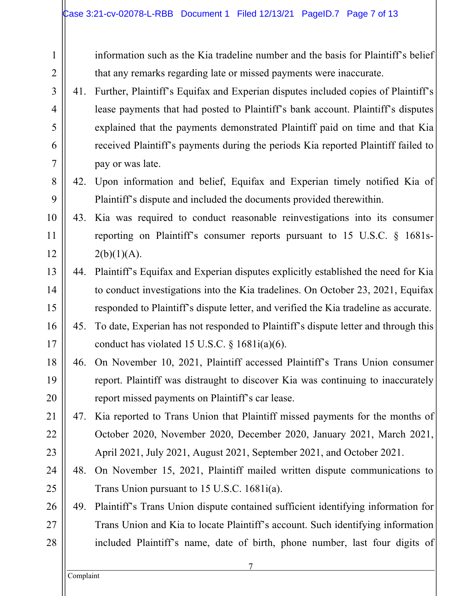information such as the Kia tradeline number and the basis for Plaintiff's belief that any remarks regarding late or missed payments were inaccurate.

- 41. Further, Plaintiff's Equifax and Experian disputes included copies of Plaintiff's lease payments that had posted to Plaintiff's bank account. Plaintiff's disputes explained that the payments demonstrated Plaintiff paid on time and that Kia received Plaintiff's payments during the periods Kia reported Plaintiff failed to pay or was late.
- 42. Upon information and belief, Equifax and Experian timely notified Kia of Plaintiff's dispute and included the documents provided therewithin.
- 43. Kia was required to conduct reasonable reinvestigations into its consumer reporting on Plaintiff's consumer reports pursuant to 15 U.S.C. § 1681s- $2(b)(1)(A)$ .
- 44. Plaintiff's Equifax and Experian disputes explicitly established the need for Kia to conduct investigations into the Kia tradelines. On October 23, 2021, Equifax responded to Plaintiff's dispute letter, and verified the Kia tradeline as accurate.
- 45. To date, Experian has not responded to Plaintiff's dispute letter and through this conduct has violated 15 U.S.C.  $\S$  1681i(a)(6).
- 18 19 20 46. On November 10, 2021, Plaintiff accessed Plaintiff's Trans Union consumer report. Plaintiff was distraught to discover Kia was continuing to inaccurately report missed payments on Plaintiff's car lease.
	- 47. Kia reported to Trans Union that Plaintiff missed payments for the months of October 2020, November 2020, December 2020, January 2021, March 2021, April 2021, July 2021, August 2021, September 2021, and October 2021.
		- 48. On November 15, 2021, Plaintiff mailed written dispute communications to Trans Union pursuant to 15 U.S.C. 1681i(a).
	- 49. Plaintiff's Trans Union dispute contained sufficient identifying information for Trans Union and Kia to locate Plaintiff's account. Such identifying information included Plaintiff's name, date of birth, phone number, last four digits of

1

2

3

4

5

6

7

8

9

10

11

12

13

14

15

16

17

21

22

23

24

25

26

27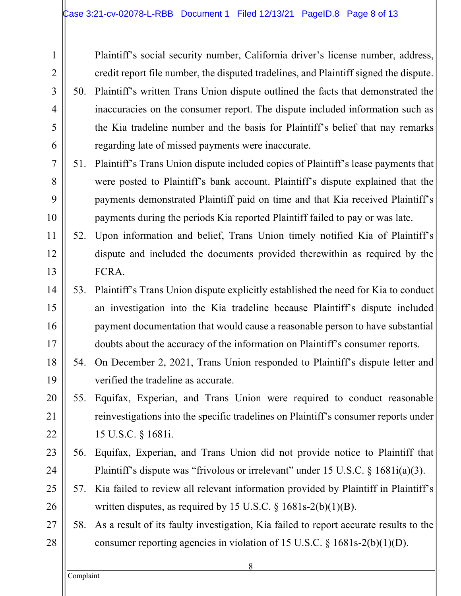Plaintiff's social security number, California driver's license number, address, credit report file number, the disputed tradelines, and Plaintiff signed the dispute. 50. Plaintiff's written Trans Union dispute outlined the facts that demonstrated the inaccuracies on the consumer report. The dispute included information such as the Kia tradeline number and the basis for Plaintiff's belief that nay remarks regarding late of missed payments were inaccurate.

- 51. Plaintiff's Trans Union dispute included copies of Plaintiff's lease payments that were posted to Plaintiff's bank account. Plaintiff's dispute explained that the payments demonstrated Plaintiff paid on time and that Kia received Plaintiff's payments during the periods Kia reported Plaintiff failed to pay or was late.
- 52. Upon information and belief, Trans Union timely notified Kia of Plaintiff's dispute and included the documents provided therewithin as required by the FCRA.
- 53. Plaintiff's Trans Union dispute explicitly established the need for Kia to conduct an investigation into the Kia tradeline because Plaintiff's dispute included payment documentation that would cause a reasonable person to have substantial doubts about the accuracy of the information on Plaintiff's consumer reports.
- 54. On December 2, 2021, Trans Union responded to Plaintiff's dispute letter and verified the tradeline as accurate.
- 55. Equifax, Experian, and Trans Union were required to conduct reasonable reinvestigations into the specific tradelines on Plaintiff's consumer reports under 15 U.S.C. § 1681i.
- 56. Equifax, Experian, and Trans Union did not provide notice to Plaintiff that Plaintiff's dispute was "frivolous or irrelevant" under 15 U.S.C. § 1681i(a)(3).
- 57. Kia failed to review all relevant information provided by Plaintiff in Plaintiff's written disputes, as required by 15 U.S.C. § 1681s-2(b)(1)(B).
- 58. As a result of its faulty investigation, Kia failed to report accurate results to the consumer reporting agencies in violation of 15 U.S.C. § 1681s-2(b)(1)(D).

Complaint

1

2

3

4

5

6

7

8

9

10

11

12

13

14

15

16

17

18

19

20

21

22

23

24

25

26

27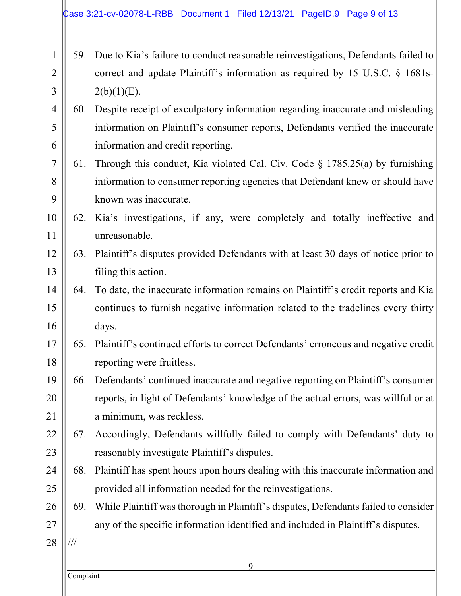1 2 3 4 5 6 7 8 9 10 11 12 13 14 15 16 17 18 19 20 21 22 23 24 25 26 27 28 59. Due to Kia's failure to conduct reasonable reinvestigations, Defendants failed to correct and update Plaintiff's information as required by 15 U.S.C. § 1681s- $2(b)(1)(E)$ . 60. Despite receipt of exculpatory information regarding inaccurate and misleading information on Plaintiff's consumer reports, Defendants verified the inaccurate information and credit reporting. 61. Through this conduct, Kia violated Cal. Civ. Code § 1785.25(a) by furnishing information to consumer reporting agencies that Defendant knew or should have known was inaccurate. 62. Kia's investigations, if any, were completely and totally ineffective and unreasonable. 63. Plaintiff's disputes provided Defendants with at least 30 days of notice prior to filing this action. 64. To date, the inaccurate information remains on Plaintiff's credit reports and Kia continues to furnish negative information related to the tradelines every thirty days. 65. Plaintiff's continued efforts to correct Defendants' erroneous and negative credit reporting were fruitless. 66. Defendants' continued inaccurate and negative reporting on Plaintiff's consumer reports, in light of Defendants' knowledge of the actual errors, was willful or at a minimum, was reckless. 67. Accordingly, Defendants willfully failed to comply with Defendants' duty to reasonably investigate Plaintiff's disputes. 68. Plaintiff has spent hours upon hours dealing with this inaccurate information and provided all information needed for the reinvestigations. 69. While Plaintiff was thorough in Plaintiff's disputes, Defendants failed to consider any of the specific information identified and included in Plaintiff's disputes. ///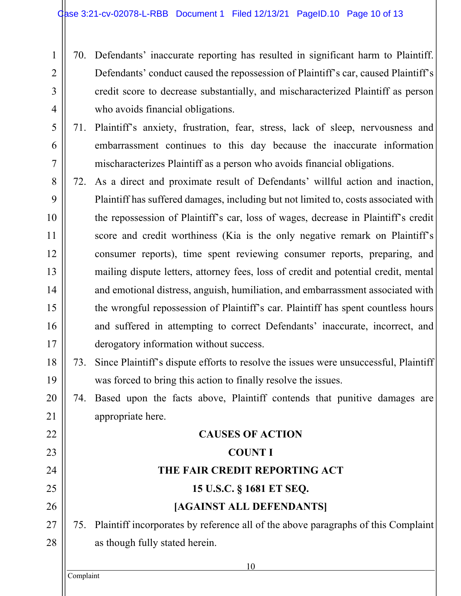- 70. Defendants' inaccurate reporting has resulted in significant harm to Plaintiff. Defendants' conduct caused the repossession of Plaintiff's car, caused Plaintiff's credit score to decrease substantially, and mischaracterized Plaintiff as person who avoids financial obligations.
- 71. Plaintiff's anxiety, frustration, fear, stress, lack of sleep, nervousness and embarrassment continues to this day because the inaccurate information mischaracterizes Plaintiff as a person who avoids financial obligations.
- 72. As a direct and proximate result of Defendants' willful action and inaction, Plaintiff has suffered damages, including but not limited to, costs associated with the repossession of Plaintiff's car, loss of wages, decrease in Plaintiff's credit score and credit worthiness (Kia is the only negative remark on Plaintiff's consumer reports), time spent reviewing consumer reports, preparing, and mailing dispute letters, attorney fees, loss of credit and potential credit, mental and emotional distress, anguish, humiliation, and embarrassment associated with the wrongful repossession of Plaintiff's car. Plaintiff has spent countless hours and suffered in attempting to correct Defendants' inaccurate, incorrect, and derogatory information without success.
	- 73. Since Plaintiff's dispute efforts to resolve the issues were unsuccessful, Plaintiff was forced to bring this action to finally resolve the issues.
	- 74. Based upon the facts above, Plaintiff contends that punitive damages are appropriate here.

#### 22 23 24 25 26 27 28 **CAUSES OF ACTION COUNT I THE FAIR CREDIT REPORTING ACT 15 U.S.C. § 1681 ET SEQ. [AGAINST ALL DEFENDANTS]** 75. Plaintiff incorporates by reference all of the above paragraphs of this Complaint as though fully stated herein.

Complaint

1

2

3

4

5

6

7

8

9

10

11

12

13

14

15

16

17

18

19

20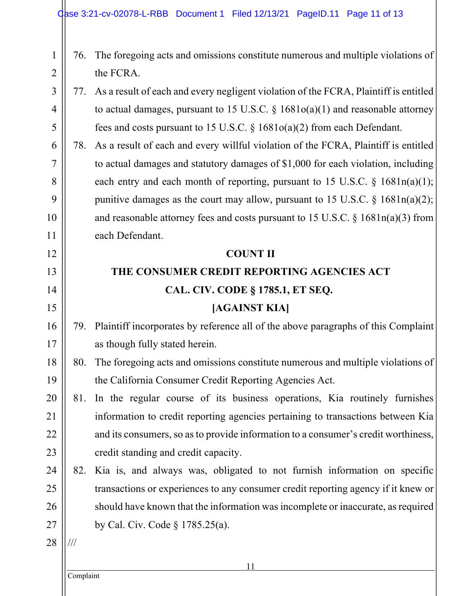- 76. The foregoing acts and omissions constitute numerous and multiple violations of the FCRA.
- 77. As a result of each and every negligent violation of the FCRA, Plaintiff is entitled to actual damages, pursuant to 15 U.S.C.  $\S$  1681o(a)(1) and reasonable attorney fees and costs pursuant to 15 U.S.C. § 1681o(a)(2) from each Defendant.
- 78. As a result of each and every willful violation of the FCRA, Plaintiff is entitled to actual damages and statutory damages of \$1,000 for each violation, including each entry and each month of reporting, pursuant to 15 U.S.C.  $\S$  1681n(a)(1); punitive damages as the court may allow, pursuant to 15 U.S.C.  $\S$  1681n(a)(2); and reasonable attorney fees and costs pursuant to 15 U.S.C. § 1681n(a)(3) from each Defendant.

## **COUNT II**

# **THE CONSUMER CREDIT REPORTING AGENCIES ACT CAL. CIV. CODE § 1785.1, ET SEQ.**

## **[AGAINST KIA]**

- 79. Plaintiff incorporates by reference all of the above paragraphs of this Complaint as though fully stated herein.
- 80. The foregoing acts and omissions constitute numerous and multiple violations of the California Consumer Credit Reporting Agencies Act.
- 81. In the regular course of its business operations, Kia routinely furnishes information to credit reporting agencies pertaining to transactions between Kia and its consumers, so as to provide information to a consumer's credit worthiness, credit standing and credit capacity.
- 24 25 26 82. Kia is, and always was, obligated to not furnish information on specific transactions or experiences to any consumer credit reporting agency if it knew or should have known that the information was incomplete or inaccurate, as required by Cal. Civ. Code § 1785.25(a).

28 ///

1

2

3

4

5

6

7

8

9

10

11

12

13

14

15

16

17

18

19

20

21

22

23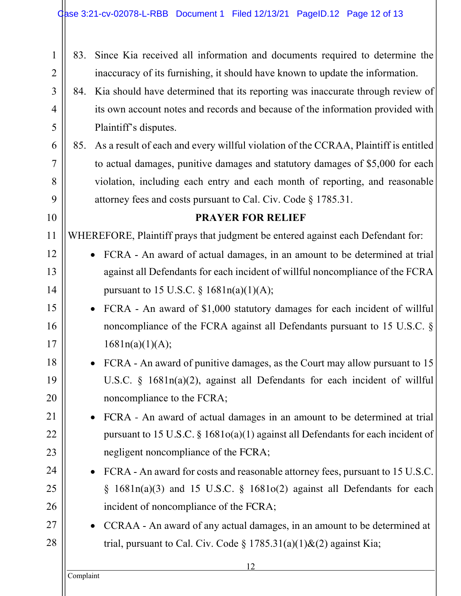| $\mathbf{1}$   | 83.                                                                                | Since Kia received all information and documents required to determine the              |  |  |  |  |
|----------------|------------------------------------------------------------------------------------|-----------------------------------------------------------------------------------------|--|--|--|--|
| $\overline{2}$ |                                                                                    | inaccuracy of its furnishing, it should have known to update the information.           |  |  |  |  |
| 3              |                                                                                    | 84. Kia should have determined that its reporting was inaccurate through review of      |  |  |  |  |
| $\overline{4}$ |                                                                                    | its own account notes and records and because of the information provided with          |  |  |  |  |
| 5              |                                                                                    | Plaintiff's disputes.                                                                   |  |  |  |  |
| 6              |                                                                                    | 85. As a result of each and every willful violation of the CCRAA, Plaintiff is entitled |  |  |  |  |
| 7              |                                                                                    | to actual damages, punitive damages and statutory damages of \$5,000 for each           |  |  |  |  |
| 8              |                                                                                    | violation, including each entry and each month of reporting, and reasonable             |  |  |  |  |
| 9              | attorney fees and costs pursuant to Cal. Civ. Code $\S 1785.31$ .                  |                                                                                         |  |  |  |  |
| 10             | <b>PRAYER FOR RELIEF</b>                                                           |                                                                                         |  |  |  |  |
| 11             |                                                                                    | WHEREFORE, Plaintiff prays that judgment be entered against each Defendant for:         |  |  |  |  |
| 12             |                                                                                    | FCRA - An award of actual damages, in an amount to be determined at trial               |  |  |  |  |
| 13             |                                                                                    | against all Defendants for each incident of willful noncompliance of the FCRA           |  |  |  |  |
| 14             |                                                                                    | pursuant to 15 U.S.C. $\S 1681n(a)(1)(A);$                                              |  |  |  |  |
| 15             | FCRA - An award of \$1,000 statutory damages for each incident of willful          |                                                                                         |  |  |  |  |
| 16             |                                                                                    | noncompliance of the FCRA against all Defendants pursuant to 15 U.S.C. §                |  |  |  |  |
| 17             |                                                                                    | 1681n(a)(1)(A);                                                                         |  |  |  |  |
| 18             |                                                                                    | FCRA - An award of punitive damages, as the Court may allow pursuant to 15              |  |  |  |  |
| 19             |                                                                                    | U.S.C. § 1681n(a)(2), against all Defendants for each incident of willful               |  |  |  |  |
| 20             |                                                                                    | noncompliance to the FCRA;                                                              |  |  |  |  |
| 21             |                                                                                    | FCRA - An award of actual damages in an amount to be determined at trial                |  |  |  |  |
| 22             | pursuant to 15 U.S.C. $\S$ 1681o(a)(1) against all Defendants for each incident of |                                                                                         |  |  |  |  |
| 23             |                                                                                    | negligent noncompliance of the FCRA;                                                    |  |  |  |  |
| 24             |                                                                                    | FCRA - An award for costs and reasonable attorney fees, pursuant to 15 U.S.C.           |  |  |  |  |
| 25             |                                                                                    | $1681n(a)(3)$ and 15 U.S.C. § 1681o(2) against all Defendants for each<br>§             |  |  |  |  |
| 26             |                                                                                    | incident of noncompliance of the FCRA;                                                  |  |  |  |  |
| 27             |                                                                                    | CCRAA - An award of any actual damages, in an amount to be determined at                |  |  |  |  |
| 28             |                                                                                    | trial, pursuant to Cal. Civ. Code $\S 1785.31(a)(1)$ &(2) against Kia;                  |  |  |  |  |
|                |                                                                                    | 12                                                                                      |  |  |  |  |
|                | Complaint                                                                          |                                                                                         |  |  |  |  |